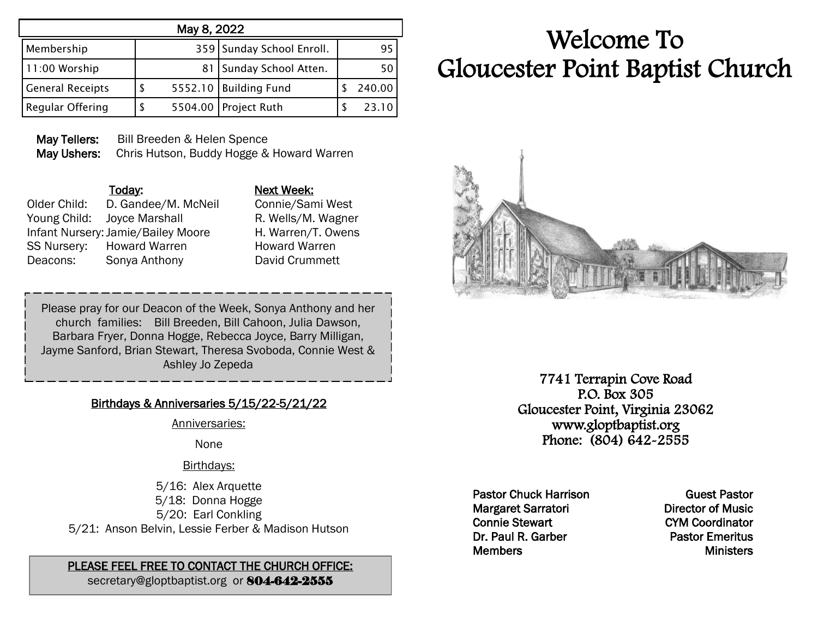| May 8, 2022             |   |  |                           |  |        |
|-------------------------|---|--|---------------------------|--|--------|
| Membership              |   |  | 359 Sunday School Enroll. |  | 95     |
| 11:00 Worship           |   |  | 81   Sunday School Atten. |  | 50     |
| <b>General Receipts</b> | S |  | 5552.10 Building Fund     |  | 240.00 |
| Regular Offering        | S |  | 5504.00 Project Ruth      |  | 23.10  |

May Tellers: Bill Breeden & Helen Spence May Ushers: Chris Hutson, Buddy Hogge & Howard Warren

|              | Today:                             | Next Week:  |
|--------------|------------------------------------|-------------|
| Older Child: | D. Gandee/M. McNeil                | Connie/San  |
|              | Young Child: Joyce Marshall        | R. Wells/M. |
|              | Infant Nursery: Jamie/Bailey Moore | H. Warren/1 |
| SS Nursery:  | <b>Howard Warren</b>               | Howard Wa   |
| Deacons:     | Sonya Anthony                      | David Crum  |

Connie/Sami West R. Wells/M. Wagner H. Warren/T. Owens Howard Warren David Crummett

Please pray for our Deacon of the Week, Sonya Anthony and her church families: Bill Breeden, Bill Cahoon, Julia Dawson, Barbara Fryer, Donna Hogge, Rebecca Joyce, Barry Milligan, Jayme Sanford, Brian Stewart, Theresa Svoboda, Connie West & Ashley Jo Zepeda

## Birthdays & Anniversaries 5/15/22-5/21/22

Anniversaries:

None

#### Birthdays:

5/16: Alex Arquette 5/18: Donna Hogge 5/20: Earl Conkling 5/21: Anson Belvin, Lessie Ferber & Madison Hutson

### PLEASE FEEL FREE TO CONTACT THE CHURCH OFFICE:

secretary@gloptbaptist.org or 804-642-2555

# Welcome To Gloucester Point Baptist Church



7741 Terrapin Cove Road P.O. Box 305 Gloucester Point, Virginia 23062 www.gloptbaptist.org Phone: (804) 642-2555

Pastor Chuck Harrison Margaret Sarratori Connie Stewart Dr. Paul R. Garber **Members** 

Guest Pastor Director of Music CYM Coordinator Pastor Emeritus **Ministers**